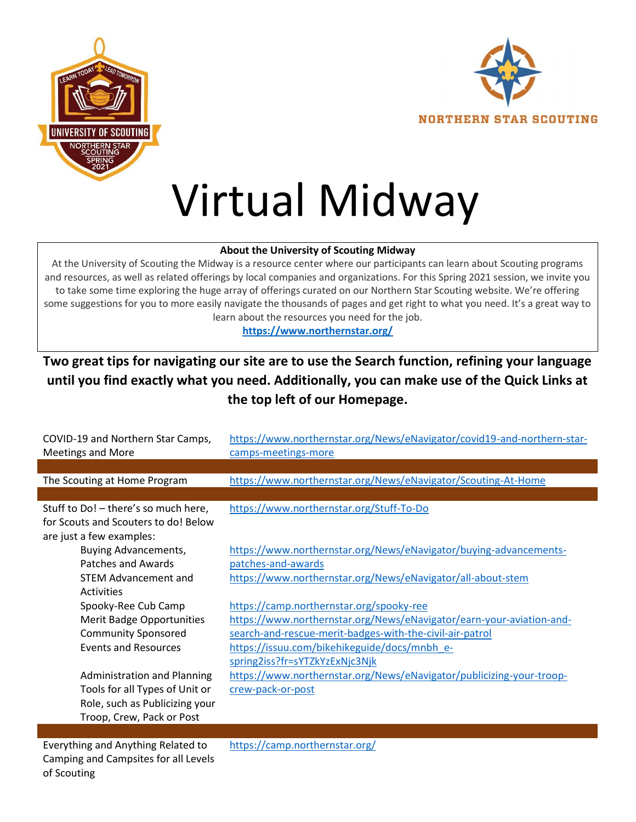



## Virtual Midway

## About the University of Scouting Midway

At the University of Scouting the Midway is a resource center where our participants can learn about Scouting programs and resources, as well as related offerings by local companies and organizations. For this Spring 2021 session, we invite you to take some time exploring the huge array of offerings curated on our Northern Star Scouting website. We're offering some suggestions for you to more easily navigate the thousands of pages and get right to what you need. It's a great way to learn about the resources you need for the job.

https://www.northernstar.org/

## Two great tips for navigating our site are to use the Search function, refining your language until you find exactly what you need. Additionally, you can make use of the Quick Links at the top left of our Homepage.

| COVID-19 and Northern Star Camps,<br><b>Meetings and More</b>                | https://www.northernstar.org/News/eNavigator/covid19-and-northern-star-<br>camps-meetings-more |
|------------------------------------------------------------------------------|------------------------------------------------------------------------------------------------|
|                                                                              |                                                                                                |
| The Scouting at Home Program                                                 | https://www.northernstar.org/News/eNavigator/Scouting-At-Home                                  |
|                                                                              |                                                                                                |
| Stuff to Do! - there's so much here,<br>for Scouts and Scouters to do! Below | https://www.northernstar.org/Stuff-To-Do                                                       |
| are just a few examples:                                                     |                                                                                                |
| Buying Advancements,                                                         | https://www.northernstar.org/News/eNavigator/buying-advancements-                              |
| Patches and Awards                                                           | patches-and-awards                                                                             |
| <b>STEM Advancement and</b>                                                  | https://www.northernstar.org/News/eNavigator/all-about-stem                                    |
| Activities                                                                   |                                                                                                |
| Spooky-Ree Cub Camp                                                          | https://camp.northernstar.org/spooky-ree                                                       |
| Merit Badge Opportunities                                                    | https://www.northernstar.org/News/eNavigator/earn-your-aviation-and-                           |
| <b>Community Sponsored</b>                                                   | search-and-rescue-merit-badges-with-the-civil-air-patrol                                       |
| <b>Events and Resources</b>                                                  | https://issuu.com/bikehikeguide/docs/mnbh e-                                                   |
|                                                                              | spring2iss?fr=sYTZkYzExNjc3Njk                                                                 |
| <b>Administration and Planning</b>                                           | https://www.northernstar.org/News/eNavigator/publicizing-your-troop-                           |
| Tools for all Types of Unit or                                               | crew-pack-or-post                                                                              |
| Role, such as Publicizing your                                               |                                                                                                |
| Troop, Crew, Pack or Post                                                    |                                                                                                |

Everything and Anything Related to Camping and Campsites for all Levels of Scouting

https://camp.northernstar.org/